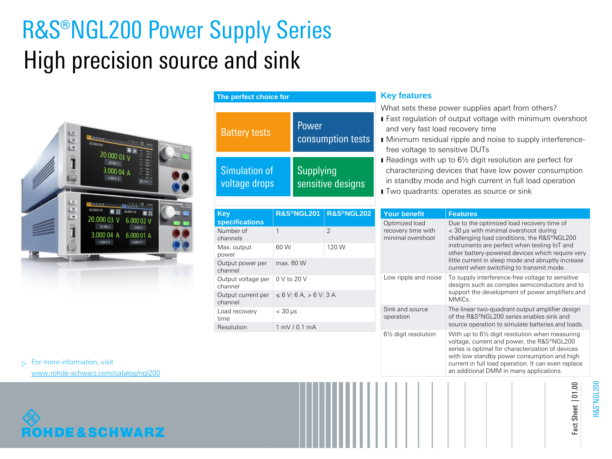# R&S®NGL200 Power Supply Series High precision source and sink



| The perfect choice for         |                                                |
|--------------------------------|------------------------------------------------|
| <b>Battery tests</b>           | Power<br>consumption tests                     |
| Simulation of<br>voltage drops | <b>Supplying</b><br>sensitive designs          |
|                                | <b>R&amp;S®NGL202</b><br><b>R&amp;S®NGL201</b> |

| Key                           | R&S®NGL201⊹                  | <b>R&amp;S®NGL202</b> |
|-------------------------------|------------------------------|-----------------------|
| <b>specifications</b>         |                              |                       |
| Number of<br>channels         | 1                            | $\mathfrak{D}$        |
| Max. output<br>power          | 60 W                         | 120 W                 |
| Output power per<br>channel   | max. 60 W                    |                       |
| Output voltage per<br>channel | $0 \vee$ to 20 V             |                       |
| Output current per<br>channel | $\le 6$ V: 6 A, $> 6$ V: 3 A |                       |
| Load recovery<br>time         | $<$ 30 $\mu$ s               |                       |
| Resolution                    | 1 mV / 0.1 mA                |                       |

# **Key features**

What sets these power supplies apart from others?

- ı Fast regulation of output voltage with minimum overshoot and very fast load recovery time
- ı Minimum residual ripple and noise to supply interferencefree voltage to sensitive DUTs
- Readings with up to 6½ digit resolution are perfect for characterizing devices that have low power consumption in standby mode and high current in full load operation **I** Two quadrants: operates as source or sink

| Your benefit                                              | <b>Features</b>                                                                                                                                                                                                                                                                                                                          |
|-----------------------------------------------------------|------------------------------------------------------------------------------------------------------------------------------------------------------------------------------------------------------------------------------------------------------------------------------------------------------------------------------------------|
| Optimized load<br>recovery time with<br>minimal overshoot | Due to the optimized load recovery time of<br>< 30 us with minimal overshoot during<br>challenging load conditions, the R&S®NGL200<br>instruments are perfect when testing IoT and<br>other battery-powered devices which require very<br>little current in sleep mode and abruptly increase<br>current when switching to transmit mode. |
| Low ripple and noise                                      | To supply interference-free voltage to sensitive<br>designs such as complex semiconductors and to<br>support the development of power amplifiers and<br>MMICs.                                                                                                                                                                           |
| Sink and source<br>operation                              | The linear two-quadrant output amplifier design<br>of the R&S®NGL200 series enables sink and<br>source operation to simulate batteries and loads.                                                                                                                                                                                        |
| 61/2 digit resolution                                     | With up to 61/2 digit resolution when measuring<br>voltage, current and power, the R&S®NGL200<br>series is optimal for characterization of devices<br>with low standby power consumption and high<br>current in full load operation. It can even replace<br>an additional DMM in many applications.                                      |

 $\triangleright$  For more information, visit [www.rohde-schwarz.com/catalog/ngl200](http://www.rohde-schwarz.com/catalog/ngl200)



R&S ®NGL200

Fact Sheet | 01.00

Fact Sheet | 01.00